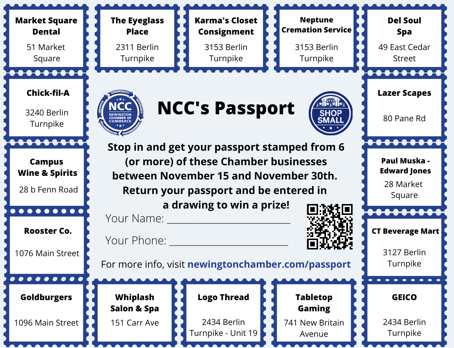